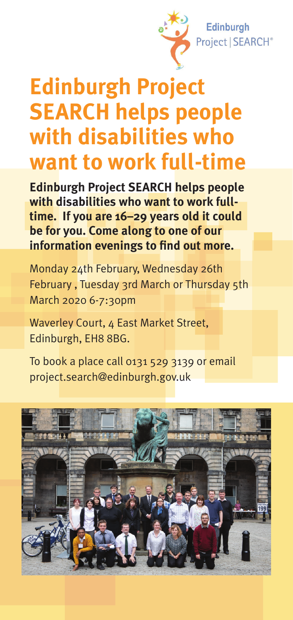

## **Edinburgh Project SEARCH helps people with disabilities who want to work full-time**

**Edinburgh Project SEARCH helps people with disabilities who want to work fulltime. If you are 16–29 years old it could be for you. Come along to one of our information evenings to find out more.**

Monday 24th February, Wednesday 26th February , Tuesday 3rd March or Thursday 5th March 2020 6-7:30pm

Waverley Court, 4 East Market Street, Edinburgh, EH8 8BG.

To book a place call 0131 529 3139 or email project.search@edinburgh.gov.uk